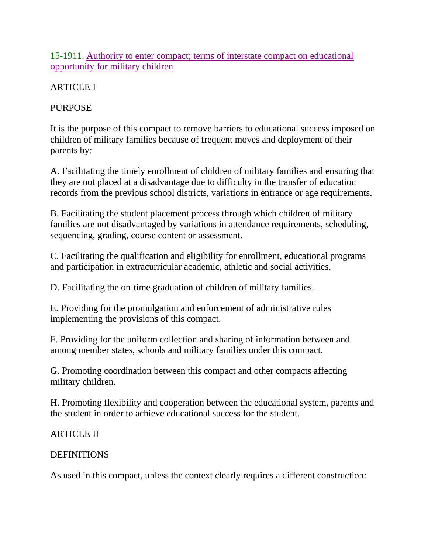15-1911. Authority to enter compact; terms of interstate compact on educational opportunity for military children

# ARTICLE I

## PURPOSE

It is the purpose of this compact to remove barriers to educational success imposed on children of military families because of frequent moves and deployment of their parents by:

A. Facilitating the timely enrollment of children of military families and ensuring that they are not placed at a disadvantage due to difficulty in the transfer of education records from the previous school districts, variations in entrance or age requirements.

B. Facilitating the student placement process through which children of military families are not disadvantaged by variations in attendance requirements, scheduling, sequencing, grading, course content or assessment.

C. Facilitating the qualification and eligibility for enrollment, educational programs and participation in extracurricular academic, athletic and social activities.

D. Facilitating the on-time graduation of children of military families.

E. Providing for the promulgation and enforcement of administrative rules implementing the provisions of this compact.

F. Providing for the uniform collection and sharing of information between and among member states, schools and military families under this compact.

G. Promoting coordination between this compact and other compacts affecting military children.

H. Promoting flexibility and cooperation between the educational system, parents and the student in order to achieve educational success for the student.

# ARTICLE II

## DEFINITIONS

As used in this compact, unless the context clearly requires a different construction: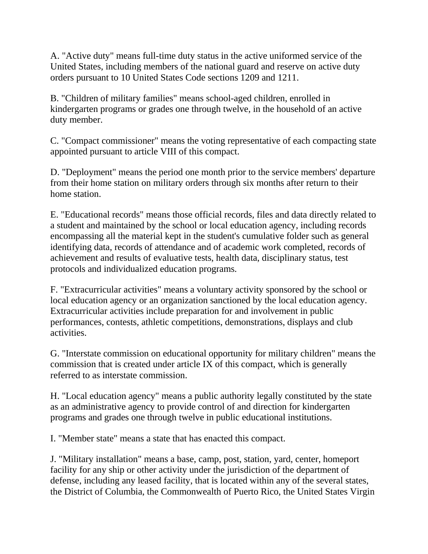A. "Active duty" means full-time duty status in the active uniformed service of the United States, including members of the national guard and reserve on active duty orders pursuant to 10 United States Code sections 1209 and 1211.

B. "Children of military families" means school-aged children, enrolled in kindergarten programs or grades one through twelve, in the household of an active duty member.

C. "Compact commissioner" means the voting representative of each compacting state appointed pursuant to article VIII of this compact.

D. "Deployment" means the period one month prior to the service members' departure from their home station on military orders through six months after return to their home station.

E. "Educational records" means those official records, files and data directly related to a student and maintained by the school or local education agency, including records encompassing all the material kept in the student's cumulative folder such as general identifying data, records of attendance and of academic work completed, records of achievement and results of evaluative tests, health data, disciplinary status, test protocols and individualized education programs.

F. "Extracurricular activities" means a voluntary activity sponsored by the school or local education agency or an organization sanctioned by the local education agency. Extracurricular activities include preparation for and involvement in public performances, contests, athletic competitions, demonstrations, displays and club activities.

G. "Interstate commission on educational opportunity for military children" means the commission that is created under article IX of this compact, which is generally referred to as interstate commission.

H. "Local education agency" means a public authority legally constituted by the state as an administrative agency to provide control of and direction for kindergarten programs and grades one through twelve in public educational institutions.

I. "Member state" means a state that has enacted this compact.

J. "Military installation" means a base, camp, post, station, yard, center, homeport facility for any ship or other activity under the jurisdiction of the department of defense, including any leased facility, that is located within any of the several states, the District of Columbia, the Commonwealth of Puerto Rico, the United States Virgin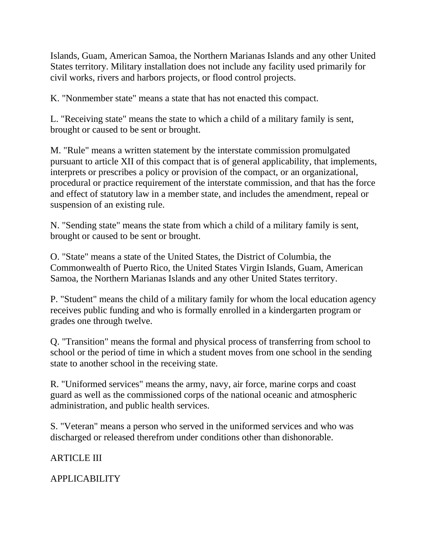Islands, Guam, American Samoa, the Northern Marianas Islands and any other United States territory. Military installation does not include any facility used primarily for civil works, rivers and harbors projects, or flood control projects.

K. "Nonmember state" means a state that has not enacted this compact.

L. "Receiving state" means the state to which a child of a military family is sent, brought or caused to be sent or brought.

M. "Rule" means a written statement by the interstate commission promulgated pursuant to article XII of this compact that is of general applicability, that implements, interprets or prescribes a policy or provision of the compact, or an organizational, procedural or practice requirement of the interstate commission, and that has the force and effect of statutory law in a member state, and includes the amendment, repeal or suspension of an existing rule.

N. "Sending state" means the state from which a child of a military family is sent, brought or caused to be sent or brought.

O. "State" means a state of the United States, the District of Columbia, the Commonwealth of Puerto Rico, the United States Virgin Islands, Guam, American Samoa, the Northern Marianas Islands and any other United States territory.

P. "Student" means the child of a military family for whom the local education agency receives public funding and who is formally enrolled in a kindergarten program or grades one through twelve.

Q. "Transition" means the formal and physical process of transferring from school to school or the period of time in which a student moves from one school in the sending state to another school in the receiving state.

R. "Uniformed services" means the army, navy, air force, marine corps and coast guard as well as the commissioned corps of the national oceanic and atmospheric administration, and public health services.

S. "Veteran" means a person who served in the uniformed services and who was discharged or released therefrom under conditions other than dishonorable.

## ARTICLE III

APPLICABILITY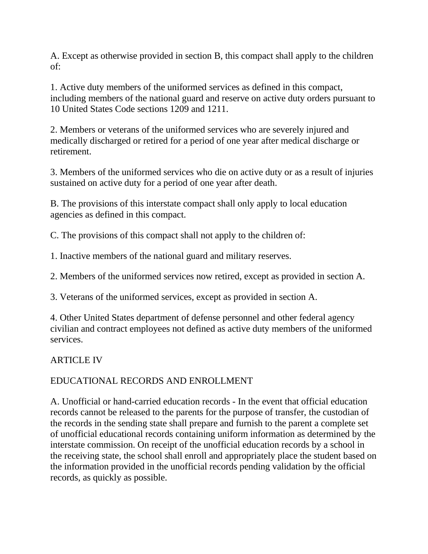A. Except as otherwise provided in section B, this compact shall apply to the children of:

1. Active duty members of the uniformed services as defined in this compact, including members of the national guard and reserve on active duty orders pursuant to 10 United States Code sections 1209 and 1211.

2. Members or veterans of the uniformed services who are severely injured and medically discharged or retired for a period of one year after medical discharge or retirement.

3. Members of the uniformed services who die on active duty or as a result of injuries sustained on active duty for a period of one year after death.

B. The provisions of this interstate compact shall only apply to local education agencies as defined in this compact.

C. The provisions of this compact shall not apply to the children of:

1. Inactive members of the national guard and military reserves.

2. Members of the uniformed services now retired, except as provided in section A.

3. Veterans of the uniformed services, except as provided in section A.

4. Other United States department of defense personnel and other federal agency civilian and contract employees not defined as active duty members of the uniformed services.

ARTICLE IV

# EDUCATIONAL RECORDS AND ENROLLMENT

A. Unofficial or hand-carried education records - In the event that official education records cannot be released to the parents for the purpose of transfer, the custodian of the records in the sending state shall prepare and furnish to the parent a complete set of unofficial educational records containing uniform information as determined by the interstate commission. On receipt of the unofficial education records by a school in the receiving state, the school shall enroll and appropriately place the student based on the information provided in the unofficial records pending validation by the official records, as quickly as possible.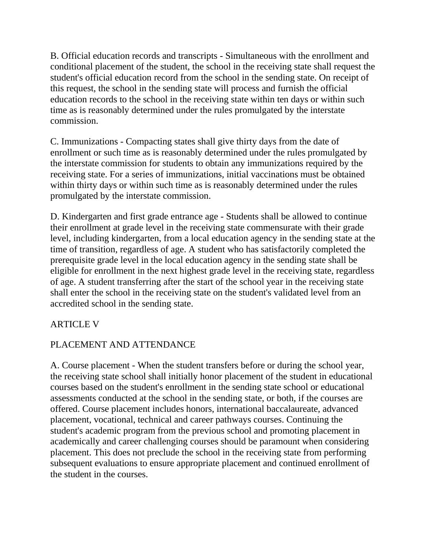B. Official education records and transcripts - Simultaneous with the enrollment and conditional placement of the student, the school in the receiving state shall request the student's official education record from the school in the sending state. On receipt of this request, the school in the sending state will process and furnish the official education records to the school in the receiving state within ten days or within such time as is reasonably determined under the rules promulgated by the interstate commission.

C. Immunizations - Compacting states shall give thirty days from the date of enrollment or such time as is reasonably determined under the rules promulgated by the interstate commission for students to obtain any immunizations required by the receiving state. For a series of immunizations, initial vaccinations must be obtained within thirty days or within such time as is reasonably determined under the rules promulgated by the interstate commission.

D. Kindergarten and first grade entrance age - Students shall be allowed to continue their enrollment at grade level in the receiving state commensurate with their grade level, including kindergarten, from a local education agency in the sending state at the time of transition, regardless of age. A student who has satisfactorily completed the prerequisite grade level in the local education agency in the sending state shall be eligible for enrollment in the next highest grade level in the receiving state, regardless of age. A student transferring after the start of the school year in the receiving state shall enter the school in the receiving state on the student's validated level from an accredited school in the sending state.

#### ARTICLE V

#### PLACEMENT AND ATTENDANCE

A. Course placement - When the student transfers before or during the school year, the receiving state school shall initially honor placement of the student in educational courses based on the student's enrollment in the sending state school or educational assessments conducted at the school in the sending state, or both, if the courses are offered. Course placement includes honors, international baccalaureate, advanced placement, vocational, technical and career pathways courses. Continuing the student's academic program from the previous school and promoting placement in academically and career challenging courses should be paramount when considering placement. This does not preclude the school in the receiving state from performing subsequent evaluations to ensure appropriate placement and continued enrollment of the student in the courses.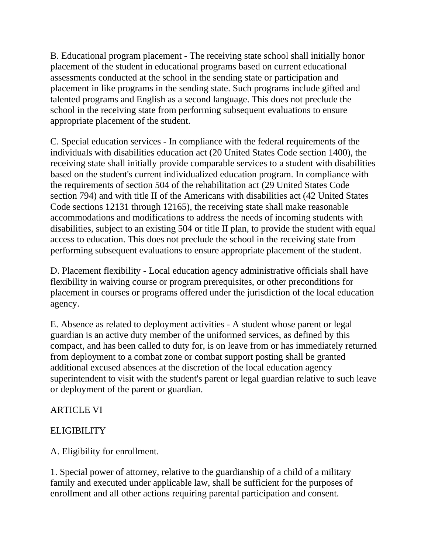B. Educational program placement - The receiving state school shall initially honor placement of the student in educational programs based on current educational assessments conducted at the school in the sending state or participation and placement in like programs in the sending state. Such programs include gifted and talented programs and English as a second language. This does not preclude the school in the receiving state from performing subsequent evaluations to ensure appropriate placement of the student.

C. Special education services - In compliance with the federal requirements of the individuals with disabilities education act (20 United States Code section 1400), the receiving state shall initially provide comparable services to a student with disabilities based on the student's current individualized education program. In compliance with the requirements of section 504 of the rehabilitation act (29 United States Code section 794) and with title II of the Americans with disabilities act (42 United States Code sections 12131 through 12165), the receiving state shall make reasonable accommodations and modifications to address the needs of incoming students with disabilities, subject to an existing 504 or title II plan, to provide the student with equal access to education. This does not preclude the school in the receiving state from performing subsequent evaluations to ensure appropriate placement of the student.

D. Placement flexibility - Local education agency administrative officials shall have flexibility in waiving course or program prerequisites, or other preconditions for placement in courses or programs offered under the jurisdiction of the local education agency.

E. Absence as related to deployment activities - A student whose parent or legal guardian is an active duty member of the uniformed services, as defined by this compact, and has been called to duty for, is on leave from or has immediately returned from deployment to a combat zone or combat support posting shall be granted additional excused absences at the discretion of the local education agency superintendent to visit with the student's parent or legal guardian relative to such leave or deployment of the parent or guardian.

## **ARTICLE VI**

# **ELIGIBILITY**

A. Eligibility for enrollment.

1. Special power of attorney, relative to the guardianship of a child of a military family and executed under applicable law, shall be sufficient for the purposes of enrollment and all other actions requiring parental participation and consent.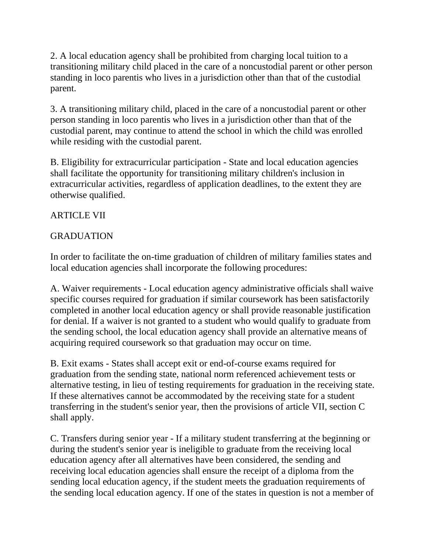2. A local education agency shall be prohibited from charging local tuition to a transitioning military child placed in the care of a noncustodial parent or other person standing in loco parentis who lives in a jurisdiction other than that of the custodial parent.

3. A transitioning military child, placed in the care of a noncustodial parent or other person standing in loco parentis who lives in a jurisdiction other than that of the custodial parent, may continue to attend the school in which the child was enrolled while residing with the custodial parent.

B. Eligibility for extracurricular participation - State and local education agencies shall facilitate the opportunity for transitioning military children's inclusion in extracurricular activities, regardless of application deadlines, to the extent they are otherwise qualified.

## ARTICLE VII

## GRADUATION

In order to facilitate the on-time graduation of children of military families states and local education agencies shall incorporate the following procedures:

A. Waiver requirements - Local education agency administrative officials shall waive specific courses required for graduation if similar coursework has been satisfactorily completed in another local education agency or shall provide reasonable justification for denial. If a waiver is not granted to a student who would qualify to graduate from the sending school, the local education agency shall provide an alternative means of acquiring required coursework so that graduation may occur on time.

B. Exit exams - States shall accept exit or end-of-course exams required for graduation from the sending state, national norm referenced achievement tests or alternative testing, in lieu of testing requirements for graduation in the receiving state. If these alternatives cannot be accommodated by the receiving state for a student transferring in the student's senior year, then the provisions of article VII, section C shall apply.

C. Transfers during senior year - If a military student transferring at the beginning or during the student's senior year is ineligible to graduate from the receiving local education agency after all alternatives have been considered, the sending and receiving local education agencies shall ensure the receipt of a diploma from the sending local education agency, if the student meets the graduation requirements of the sending local education agency. If one of the states in question is not a member of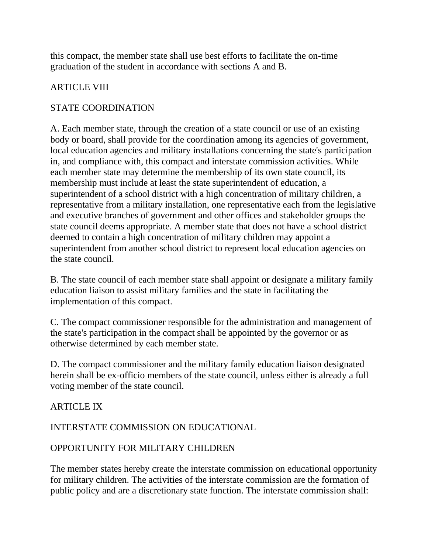this compact, the member state shall use best efforts to facilitate the on-time graduation of the student in accordance with sections A and B.

## ARTICLE VIII

## STATE COORDINATION

A. Each member state, through the creation of a state council or use of an existing body or board, shall provide for the coordination among its agencies of government, local education agencies and military installations concerning the state's participation in, and compliance with, this compact and interstate commission activities. While each member state may determine the membership of its own state council, its membership must include at least the state superintendent of education, a superintendent of a school district with a high concentration of military children, a representative from a military installation, one representative each from the legislative and executive branches of government and other offices and stakeholder groups the state council deems appropriate. A member state that does not have a school district deemed to contain a high concentration of military children may appoint a superintendent from another school district to represent local education agencies on the state council.

B. The state council of each member state shall appoint or designate a military family education liaison to assist military families and the state in facilitating the implementation of this compact.

C. The compact commissioner responsible for the administration and management of the state's participation in the compact shall be appointed by the governor or as otherwise determined by each member state.

D. The compact commissioner and the military family education liaison designated herein shall be ex-officio members of the state council, unless either is already a full voting member of the state council.

#### ARTICLE IX

#### INTERSTATE COMMISSION ON EDUCATIONAL

#### OPPORTUNITY FOR MILITARY CHILDREN

The member states hereby create the interstate commission on educational opportunity for military children. The activities of the interstate commission are the formation of public policy and are a discretionary state function. The interstate commission shall: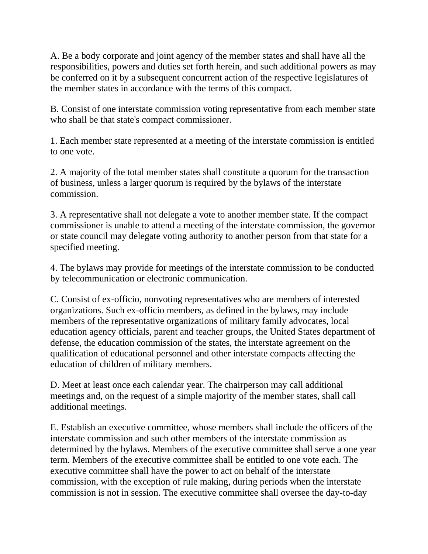A. Be a body corporate and joint agency of the member states and shall have all the responsibilities, powers and duties set forth herein, and such additional powers as may be conferred on it by a subsequent concurrent action of the respective legislatures of the member states in accordance with the terms of this compact.

B. Consist of one interstate commission voting representative from each member state who shall be that state's compact commissioner.

1. Each member state represented at a meeting of the interstate commission is entitled to one vote.

2. A majority of the total member states shall constitute a quorum for the transaction of business, unless a larger quorum is required by the bylaws of the interstate commission.

3. A representative shall not delegate a vote to another member state. If the compact commissioner is unable to attend a meeting of the interstate commission, the governor or state council may delegate voting authority to another person from that state for a specified meeting.

4. The bylaws may provide for meetings of the interstate commission to be conducted by telecommunication or electronic communication.

C. Consist of ex-officio, nonvoting representatives who are members of interested organizations. Such ex-officio members, as defined in the bylaws, may include members of the representative organizations of military family advocates, local education agency officials, parent and teacher groups, the United States department of defense, the education commission of the states, the interstate agreement on the qualification of educational personnel and other interstate compacts affecting the education of children of military members.

D. Meet at least once each calendar year. The chairperson may call additional meetings and, on the request of a simple majority of the member states, shall call additional meetings.

E. Establish an executive committee, whose members shall include the officers of the interstate commission and such other members of the interstate commission as determined by the bylaws. Members of the executive committee shall serve a one year term. Members of the executive committee shall be entitled to one vote each. The executive committee shall have the power to act on behalf of the interstate commission, with the exception of rule making, during periods when the interstate commission is not in session. The executive committee shall oversee the day-to-day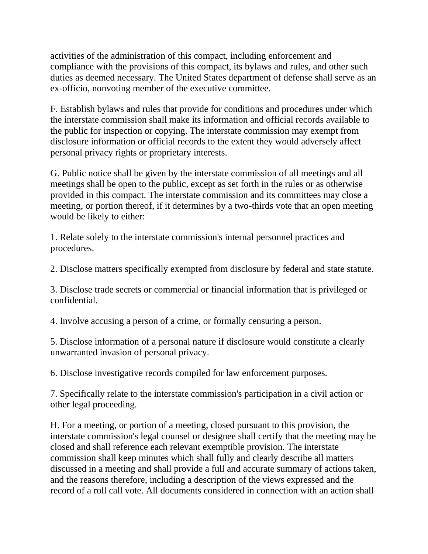activities of the administration of this compact, including enforcement and compliance with the provisions of this compact, its bylaws and rules, and other such duties as deemed necessary. The United States department of defense shall serve as an ex-officio, nonvoting member of the executive committee.

F. Establish bylaws and rules that provide for conditions and procedures under which the interstate commission shall make its information and official records available to the public for inspection or copying. The interstate commission may exempt from disclosure information or official records to the extent they would adversely affect personal privacy rights or proprietary interests.

G. Public notice shall be given by the interstate commission of all meetings and all meetings shall be open to the public, except as set forth in the rules or as otherwise provided in this compact. The interstate commission and its committees may close a meeting, or portion thereof, if it determines by a two-thirds vote that an open meeting would be likely to either:

1. Relate solely to the interstate commission's internal personnel practices and procedures.

2. Disclose matters specifically exempted from disclosure by federal and state statute.

3. Disclose trade secrets or commercial or financial information that is privileged or confidential.

4. Involve accusing a person of a crime, or formally censuring a person.

5. Disclose information of a personal nature if disclosure would constitute a clearly unwarranted invasion of personal privacy.

6. Disclose investigative records compiled for law enforcement purposes.

7. Specifically relate to the interstate commission's participation in a civil action or other legal proceeding.

H. For a meeting, or portion of a meeting, closed pursuant to this provision, the interstate commission's legal counsel or designee shall certify that the meeting may be closed and shall reference each relevant exemptible provision. The interstate commission shall keep minutes which shall fully and clearly describe all matters discussed in a meeting and shall provide a full and accurate summary of actions taken, and the reasons therefore, including a description of the views expressed and the record of a roll call vote. All documents considered in connection with an action shall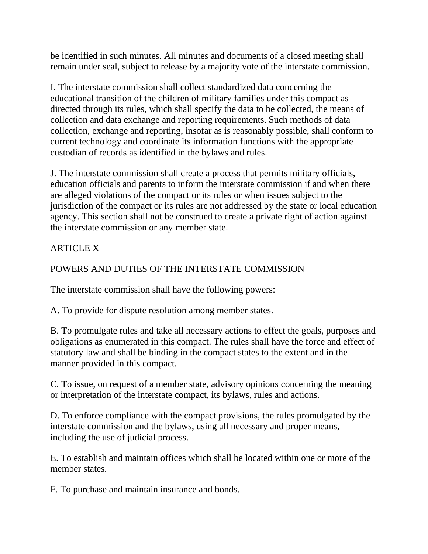be identified in such minutes. All minutes and documents of a closed meeting shall remain under seal, subject to release by a majority vote of the interstate commission.

I. The interstate commission shall collect standardized data concerning the educational transition of the children of military families under this compact as directed through its rules, which shall specify the data to be collected, the means of collection and data exchange and reporting requirements. Such methods of data collection, exchange and reporting, insofar as is reasonably possible, shall conform to current technology and coordinate its information functions with the appropriate custodian of records as identified in the bylaws and rules.

J. The interstate commission shall create a process that permits military officials, education officials and parents to inform the interstate commission if and when there are alleged violations of the compact or its rules or when issues subject to the jurisdiction of the compact or its rules are not addressed by the state or local education agency. This section shall not be construed to create a private right of action against the interstate commission or any member state.

# ARTICLE X

## POWERS AND DUTIES OF THE INTERSTATE COMMISSION

The interstate commission shall have the following powers:

A. To provide for dispute resolution among member states.

B. To promulgate rules and take all necessary actions to effect the goals, purposes and obligations as enumerated in this compact. The rules shall have the force and effect of statutory law and shall be binding in the compact states to the extent and in the manner provided in this compact.

C. To issue, on request of a member state, advisory opinions concerning the meaning or interpretation of the interstate compact, its bylaws, rules and actions.

D. To enforce compliance with the compact provisions, the rules promulgated by the interstate commission and the bylaws, using all necessary and proper means, including the use of judicial process.

E. To establish and maintain offices which shall be located within one or more of the member states.

F. To purchase and maintain insurance and bonds.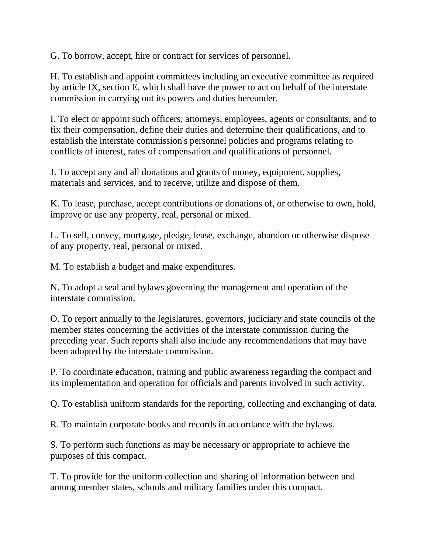G. To borrow, accept, hire or contract for services of personnel.

H. To establish and appoint committees including an executive committee as required by article IX, section E, which shall have the power to act on behalf of the interstate commission in carrying out its powers and duties hereunder.

I. To elect or appoint such officers, attorneys, employees, agents or consultants, and to fix their compensation, define their duties and determine their qualifications, and to establish the interstate commission's personnel policies and programs relating to conflicts of interest, rates of compensation and qualifications of personnel.

J. To accept any and all donations and grants of money, equipment, supplies, materials and services, and to receive, utilize and dispose of them.

K. To lease, purchase, accept contributions or donations of, or otherwise to own, hold, improve or use any property, real, personal or mixed.

L. To sell, convey, mortgage, pledge, lease, exchange, abandon or otherwise dispose of any property, real, personal or mixed.

M. To establish a budget and make expenditures.

N. To adopt a seal and bylaws governing the management and operation of the interstate commission.

O. To report annually to the legislatures, governors, judiciary and state councils of the member states concerning the activities of the interstate commission during the preceding year. Such reports shall also include any recommendations that may have been adopted by the interstate commission.

P. To coordinate education, training and public awareness regarding the compact and its implementation and operation for officials and parents involved in such activity.

Q. To establish uniform standards for the reporting, collecting and exchanging of data.

R. To maintain corporate books and records in accordance with the bylaws.

S. To perform such functions as may be necessary or appropriate to achieve the purposes of this compact.

T. To provide for the uniform collection and sharing of information between and among member states, schools and military families under this compact.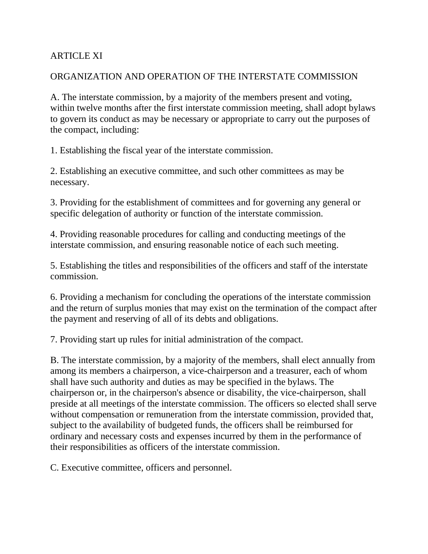#### **ARTICLE XI**

#### ORGANIZATION AND OPERATION OF THE INTERSTATE COMMISSION

A. The interstate commission, by a majority of the members present and voting, within twelve months after the first interstate commission meeting, shall adopt bylaws to govern its conduct as may be necessary or appropriate to carry out the purposes of the compact, including:

1. Establishing the fiscal year of the interstate commission.

2. Establishing an executive committee, and such other committees as may be necessary.

3. Providing for the establishment of committees and for governing any general or specific delegation of authority or function of the interstate commission.

4. Providing reasonable procedures for calling and conducting meetings of the interstate commission, and ensuring reasonable notice of each such meeting.

5. Establishing the titles and responsibilities of the officers and staff of the interstate commission.

6. Providing a mechanism for concluding the operations of the interstate commission and the return of surplus monies that may exist on the termination of the compact after the payment and reserving of all of its debts and obligations.

7. Providing start up rules for initial administration of the compact.

B. The interstate commission, by a majority of the members, shall elect annually from among its members a chairperson, a vice-chairperson and a treasurer, each of whom shall have such authority and duties as may be specified in the bylaws. The chairperson or, in the chairperson's absence or disability, the vice-chairperson, shall preside at all meetings of the interstate commission. The officers so elected shall serve without compensation or remuneration from the interstate commission, provided that, subject to the availability of budgeted funds, the officers shall be reimbursed for ordinary and necessary costs and expenses incurred by them in the performance of their responsibilities as officers of the interstate commission.

C. Executive committee, officers and personnel.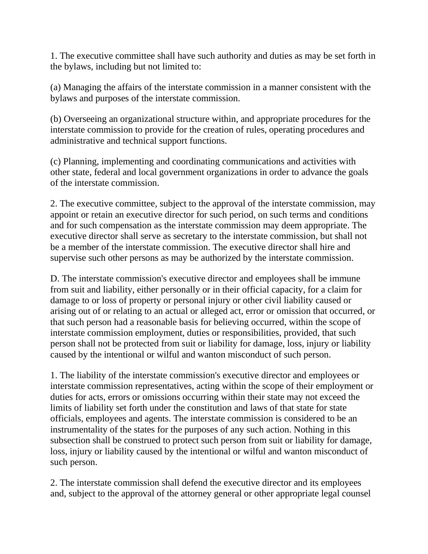1. The executive committee shall have such authority and duties as may be set forth in the bylaws, including but not limited to:

(a) Managing the affairs of the interstate commission in a manner consistent with the bylaws and purposes of the interstate commission.

(b) Overseeing an organizational structure within, and appropriate procedures for the interstate commission to provide for the creation of rules, operating procedures and administrative and technical support functions.

(c) Planning, implementing and coordinating communications and activities with other state, federal and local government organizations in order to advance the goals of the interstate commission.

2. The executive committee, subject to the approval of the interstate commission, may appoint or retain an executive director for such period, on such terms and conditions and for such compensation as the interstate commission may deem appropriate. The executive director shall serve as secretary to the interstate commission, but shall not be a member of the interstate commission. The executive director shall hire and supervise such other persons as may be authorized by the interstate commission.

D. The interstate commission's executive director and employees shall be immune from suit and liability, either personally or in their official capacity, for a claim for damage to or loss of property or personal injury or other civil liability caused or arising out of or relating to an actual or alleged act, error or omission that occurred, or that such person had a reasonable basis for believing occurred, within the scope of interstate commission employment, duties or responsibilities, provided, that such person shall not be protected from suit or liability for damage, loss, injury or liability caused by the intentional or wilful and wanton misconduct of such person.

1. The liability of the interstate commission's executive director and employees or interstate commission representatives, acting within the scope of their employment or duties for acts, errors or omissions occurring within their state may not exceed the limits of liability set forth under the constitution and laws of that state for state officials, employees and agents. The interstate commission is considered to be an instrumentality of the states for the purposes of any such action. Nothing in this subsection shall be construed to protect such person from suit or liability for damage, loss, injury or liability caused by the intentional or wilful and wanton misconduct of such person.

2. The interstate commission shall defend the executive director and its employees and, subject to the approval of the attorney general or other appropriate legal counsel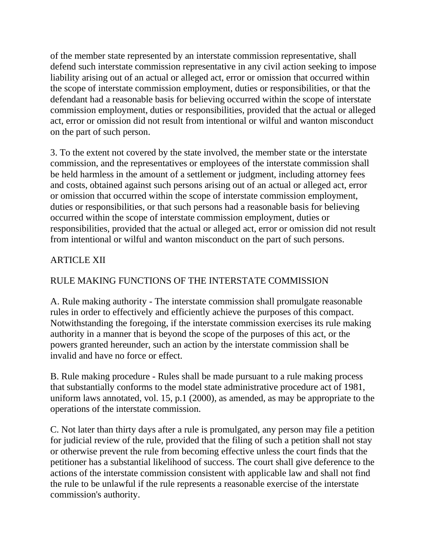of the member state represented by an interstate commission representative, shall defend such interstate commission representative in any civil action seeking to impose liability arising out of an actual or alleged act, error or omission that occurred within the scope of interstate commission employment, duties or responsibilities, or that the defendant had a reasonable basis for believing occurred within the scope of interstate commission employment, duties or responsibilities, provided that the actual or alleged act, error or omission did not result from intentional or wilful and wanton misconduct on the part of such person.

3. To the extent not covered by the state involved, the member state or the interstate commission, and the representatives or employees of the interstate commission shall be held harmless in the amount of a settlement or judgment, including attorney fees and costs, obtained against such persons arising out of an actual or alleged act, error or omission that occurred within the scope of interstate commission employment, duties or responsibilities, or that such persons had a reasonable basis for believing occurred within the scope of interstate commission employment, duties or responsibilities, provided that the actual or alleged act, error or omission did not result from intentional or wilful and wanton misconduct on the part of such persons.

## ARTICLE XII

## RULE MAKING FUNCTIONS OF THE INTERSTATE COMMISSION

A. Rule making authority - The interstate commission shall promulgate reasonable rules in order to effectively and efficiently achieve the purposes of this compact. Notwithstanding the foregoing, if the interstate commission exercises its rule making authority in a manner that is beyond the scope of the purposes of this act, or the powers granted hereunder, such an action by the interstate commission shall be invalid and have no force or effect.

B. Rule making procedure - Rules shall be made pursuant to a rule making process that substantially conforms to the model state administrative procedure act of 1981, uniform laws annotated, vol. 15, p.1 (2000), as amended, as may be appropriate to the operations of the interstate commission.

C. Not later than thirty days after a rule is promulgated, any person may file a petition for judicial review of the rule, provided that the filing of such a petition shall not stay or otherwise prevent the rule from becoming effective unless the court finds that the petitioner has a substantial likelihood of success. The court shall give deference to the actions of the interstate commission consistent with applicable law and shall not find the rule to be unlawful if the rule represents a reasonable exercise of the interstate commission's authority.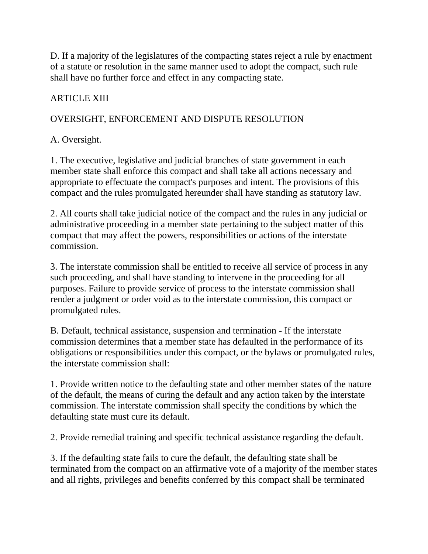D. If a majority of the legislatures of the compacting states reject a rule by enactment of a statute or resolution in the same manner used to adopt the compact, such rule shall have no further force and effect in any compacting state.

## ARTICLE XIII

## OVERSIGHT, ENFORCEMENT AND DISPUTE RESOLUTION

## A. Oversight.

1. The executive, legislative and judicial branches of state government in each member state shall enforce this compact and shall take all actions necessary and appropriate to effectuate the compact's purposes and intent. The provisions of this compact and the rules promulgated hereunder shall have standing as statutory law.

2. All courts shall take judicial notice of the compact and the rules in any judicial or administrative proceeding in a member state pertaining to the subject matter of this compact that may affect the powers, responsibilities or actions of the interstate commission.

3. The interstate commission shall be entitled to receive all service of process in any such proceeding, and shall have standing to intervene in the proceeding for all purposes. Failure to provide service of process to the interstate commission shall render a judgment or order void as to the interstate commission, this compact or promulgated rules.

B. Default, technical assistance, suspension and termination - If the interstate commission determines that a member state has defaulted in the performance of its obligations or responsibilities under this compact, or the bylaws or promulgated rules, the interstate commission shall:

1. Provide written notice to the defaulting state and other member states of the nature of the default, the means of curing the default and any action taken by the interstate commission. The interstate commission shall specify the conditions by which the defaulting state must cure its default.

2. Provide remedial training and specific technical assistance regarding the default.

3. If the defaulting state fails to cure the default, the defaulting state shall be terminated from the compact on an affirmative vote of a majority of the member states and all rights, privileges and benefits conferred by this compact shall be terminated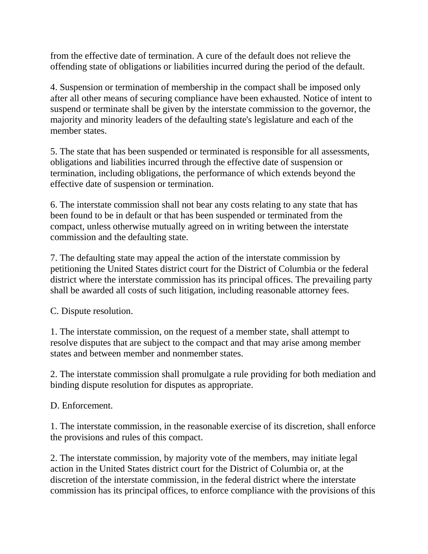from the effective date of termination. A cure of the default does not relieve the offending state of obligations or liabilities incurred during the period of the default.

4. Suspension or termination of membership in the compact shall be imposed only after all other means of securing compliance have been exhausted. Notice of intent to suspend or terminate shall be given by the interstate commission to the governor, the majority and minority leaders of the defaulting state's legislature and each of the member states.

5. The state that has been suspended or terminated is responsible for all assessments, obligations and liabilities incurred through the effective date of suspension or termination, including obligations, the performance of which extends beyond the effective date of suspension or termination.

6. The interstate commission shall not bear any costs relating to any state that has been found to be in default or that has been suspended or terminated from the compact, unless otherwise mutually agreed on in writing between the interstate commission and the defaulting state.

7. The defaulting state may appeal the action of the interstate commission by petitioning the United States district court for the District of Columbia or the federal district where the interstate commission has its principal offices. The prevailing party shall be awarded all costs of such litigation, including reasonable attorney fees.

C. Dispute resolution.

1. The interstate commission, on the request of a member state, shall attempt to resolve disputes that are subject to the compact and that may arise among member states and between member and nonmember states.

2. The interstate commission shall promulgate a rule providing for both mediation and binding dispute resolution for disputes as appropriate.

D. Enforcement.

1. The interstate commission, in the reasonable exercise of its discretion, shall enforce the provisions and rules of this compact.

2. The interstate commission, by majority vote of the members, may initiate legal action in the United States district court for the District of Columbia or, at the discretion of the interstate commission, in the federal district where the interstate commission has its principal offices, to enforce compliance with the provisions of this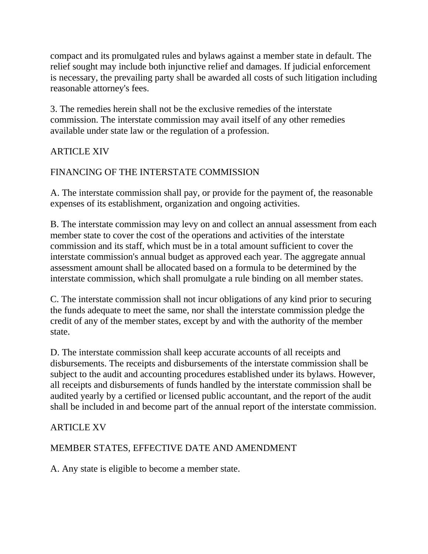compact and its promulgated rules and bylaws against a member state in default. The relief sought may include both injunctive relief and damages. If judicial enforcement is necessary, the prevailing party shall be awarded all costs of such litigation including reasonable attorney's fees.

3. The remedies herein shall not be the exclusive remedies of the interstate commission. The interstate commission may avail itself of any other remedies available under state law or the regulation of a profession.

## ARTICLE XIV

# FINANCING OF THE INTERSTATE COMMISSION

A. The interstate commission shall pay, or provide for the payment of, the reasonable expenses of its establishment, organization and ongoing activities.

B. The interstate commission may levy on and collect an annual assessment from each member state to cover the cost of the operations and activities of the interstate commission and its staff, which must be in a total amount sufficient to cover the interstate commission's annual budget as approved each year. The aggregate annual assessment amount shall be allocated based on a formula to be determined by the interstate commission, which shall promulgate a rule binding on all member states.

C. The interstate commission shall not incur obligations of any kind prior to securing the funds adequate to meet the same, nor shall the interstate commission pledge the credit of any of the member states, except by and with the authority of the member state.

D. The interstate commission shall keep accurate accounts of all receipts and disbursements. The receipts and disbursements of the interstate commission shall be subject to the audit and accounting procedures established under its bylaws. However, all receipts and disbursements of funds handled by the interstate commission shall be audited yearly by a certified or licensed public accountant, and the report of the audit shall be included in and become part of the annual report of the interstate commission.

## ARTICLE XV

## MEMBER STATES, EFFECTIVE DATE AND AMENDMENT

A. Any state is eligible to become a member state.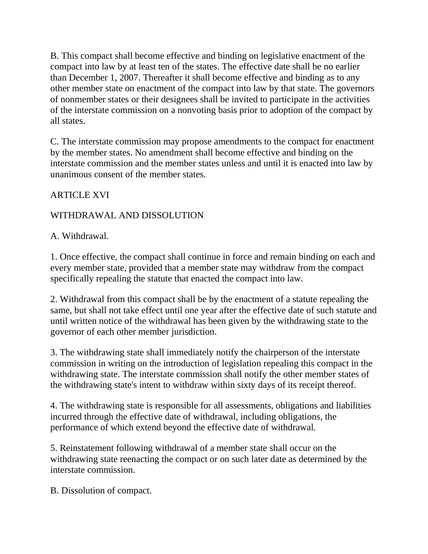B. This compact shall become effective and binding on legislative enactment of the compact into law by at least ten of the states. The effective date shall be no earlier than December 1, 2007. Thereafter it shall become effective and binding as to any other member state on enactment of the compact into law by that state. The governors of nonmember states or their designees shall be invited to participate in the activities of the interstate commission on a nonvoting basis prior to adoption of the compact by all states.

C. The interstate commission may propose amendments to the compact for enactment by the member states. No amendment shall become effective and binding on the interstate commission and the member states unless and until it is enacted into law by unanimous consent of the member states.

## ARTICLE XVI

## WITHDRAWAL AND DISSOLUTION

A. Withdrawal.

1. Once effective, the compact shall continue in force and remain binding on each and every member state, provided that a member state may withdraw from the compact specifically repealing the statute that enacted the compact into law.

2. Withdrawal from this compact shall be by the enactment of a statute repealing the same, but shall not take effect until one year after the effective date of such statute and until written notice of the withdrawal has been given by the withdrawing state to the governor of each other member jurisdiction.

3. The withdrawing state shall immediately notify the chairperson of the interstate commission in writing on the introduction of legislation repealing this compact in the withdrawing state. The interstate commission shall notify the other member states of the withdrawing state's intent to withdraw within sixty days of its receipt thereof.

4. The withdrawing state is responsible for all assessments, obligations and liabilities incurred through the effective date of withdrawal, including obligations, the performance of which extend beyond the effective date of withdrawal.

5. Reinstatement following withdrawal of a member state shall occur on the withdrawing state reenacting the compact or on such later date as determined by the interstate commission.

B. Dissolution of compact.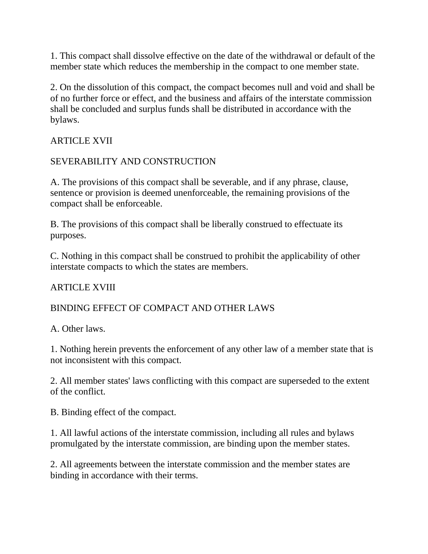1. This compact shall dissolve effective on the date of the withdrawal or default of the member state which reduces the membership in the compact to one member state.

2. On the dissolution of this compact, the compact becomes null and void and shall be of no further force or effect, and the business and affairs of the interstate commission shall be concluded and surplus funds shall be distributed in accordance with the bylaws.

## ARTICLE XVII

## SEVERABILITY AND CONSTRUCTION

A. The provisions of this compact shall be severable, and if any phrase, clause, sentence or provision is deemed unenforceable, the remaining provisions of the compact shall be enforceable.

B. The provisions of this compact shall be liberally construed to effectuate its purposes.

C. Nothing in this compact shall be construed to prohibit the applicability of other interstate compacts to which the states are members.

#### ARTICLE XVIII

#### BINDING EFFECT OF COMPACT AND OTHER LAWS

A. Other laws.

1. Nothing herein prevents the enforcement of any other law of a member state that is not inconsistent with this compact.

2. All member states' laws conflicting with this compact are superseded to the extent of the conflict.

B. Binding effect of the compact.

1. All lawful actions of the interstate commission, including all rules and bylaws promulgated by the interstate commission, are binding upon the member states.

2. All agreements between the interstate commission and the member states are binding in accordance with their terms.